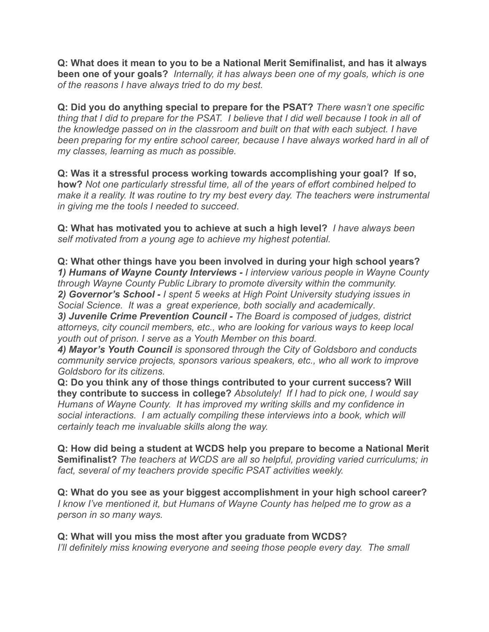**Q: What does it mean to you to be a National Merit Semifinalist, and has it always been one of your goals?** *Internally, it has always been one of my goals, which is one of the reasons I have always tried to do my best.*

**Q: Did you do anything special to prepare for the PSAT?** *There wasn't one specific thing that I did to prepare for the PSAT. I believe that I did well because I took in all of the knowledge passed on in the classroom and built on that with each subject. I have been preparing for my entire school career, because I have always worked hard in all of my classes, learning as much as possible.*

**Q: Was it a stressful process working towards accomplishing your goal? If so, how?** *Not one particularly stressful time, all of the years of effort combined helped to make it a reality. It was routine to try my best every day. The teachers were instrumental in giving me the tools I needed to succeed*.

**Q: What has motivated you to achieve at such a high level?** *I have always been self motivated from a young age to achieve my highest potential.*

**Q: What other things have you been involved in during your high school years?** *1) Humans of Wayne County Interviews - I interview various people in Wayne County through Wayne County Public Library to promote diversity within the community. 2) Governor's School - I spent 5 weeks at High Point University studying issues in Social Science. It was a great experience, both socially and academically*. *3) Juvenile Crime Prevention Council - The Board is composed of judges, district*

*attorneys, city council members, etc., who are looking for various ways to keep local youth out of prison. I serve as a Youth Member on this board.*

*4) Mayor's Youth Council is sponsored through the City of Goldsboro and conducts community service projects, sponsors various speakers, etc., who all work to improve Goldsboro for its citizens.*

**Q: Do you think any of those things contributed to your current success? Will they contribute to success in college?** *Absolutely! If I had to pick one, I would say Humans of Wayne County. It has improved my writing skills and my confidence in social interactions. I am actually compiling these interviews into a book, which will certainly teach me invaluable skills along the way.*

**Q: How did being a student at WCDS help you prepare to become a National Merit Semifinalist?** *The teachers at WCDS are all so helpful, providing varied curriculums; in fact, several of my teachers provide specific PSAT activities weekly.*

**Q: What do you see as your biggest accomplishment in your high school career?** *I know I've mentioned it, but Humans of Wayne County has helped me to grow as a person in so many ways.*

**Q: What will you miss the most after you graduate from WCDS?** *I'll definitely miss knowing everyone and seeing those people every day. The small*